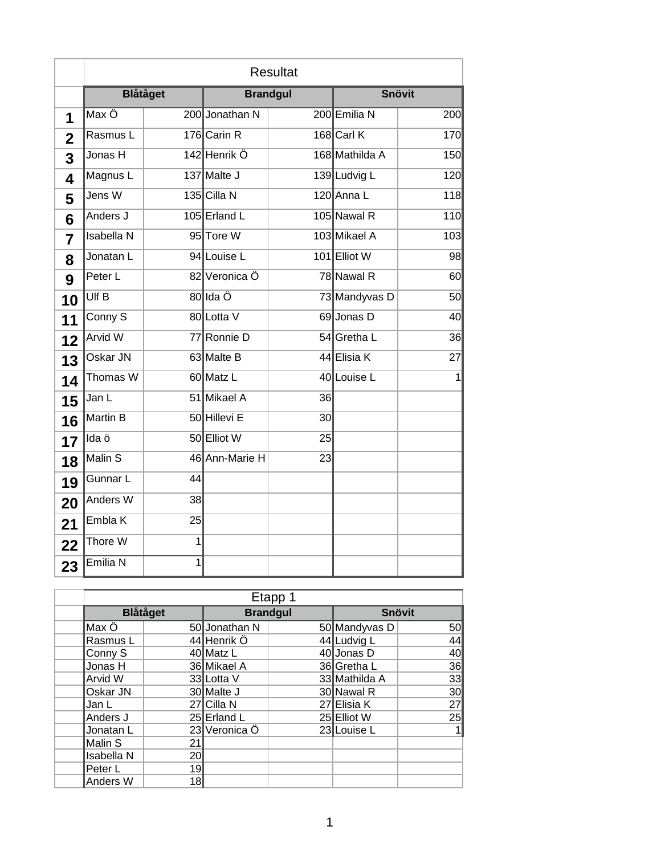|             | <b>Resultat</b>    |                 |                 |                 |                |     |
|-------------|--------------------|-----------------|-----------------|-----------------|----------------|-----|
|             |                    | <b>Blåtåget</b> | <b>Brandgul</b> |                 | <b>Snövit</b>  |     |
| 1           | Max Ö              |                 | 200 Jonathan N  |                 | 200 Emilia N   | 200 |
| $\mathbf 2$ | Rasmus L           |                 | 176 Carin R     |                 | 168 Carl K     | 170 |
| 3           | Jonas H            |                 | 142 Henrik Ö    |                 | 168 Mathilda A | 150 |
| 4           | Magnus L           |                 | 137 Malte J     |                 | 139 Ludvig L   | 120 |
| 5           | Jens W             |                 | 135 Cilla N     |                 | 120 Anna L     | 118 |
| 6           | Anders J           |                 | 105 Erland L    |                 | 105 Nawal R    | 110 |
| 7           | <b>Isabella N</b>  |                 | 95 Tore W       |                 | 103 Mikael A   | 103 |
| 8           | Jonatan L          |                 | 94 Louise L     |                 | 101 Elliot W   | 98  |
| 9           | Peter L            |                 | 82 Veronica Ö   |                 | 78 Nawal R     | 60  |
| 10          | Ulf B              |                 | 80lda Ö         |                 | 73 Mandyvas D  | 50  |
| 11          | Conny <sub>S</sub> |                 | 80 Lotta V      |                 | 69 Jonas D     | 40  |
| 12          | <b>Arvid W</b>     |                 | 77 Ronnie D     |                 | 54 Gretha L    | 36  |
| 13          | Oskar JN           |                 | 63 Malte B      |                 | 44 Elisia K    | 27  |
| 14          | Thomas W           |                 | 60 Matz L       |                 | 40 Louise L    | 1   |
| 15          | Jan L              |                 | 51 Mikael A     | 36              |                |     |
| 16          | Martin B           |                 | 50 Hillevi E    | 30 <sup>1</sup> |                |     |
| 17          | Ida ö              |                 | 50 Elliot W     | 25              |                |     |
| 18          | Malin S            |                 | 46 Ann-Marie H  | 23              |                |     |
| 19          | Gunnar L           | 44              |                 |                 |                |     |
| 20          | Anders W           | $38$            |                 |                 |                |     |
| 21          | Embla K            | 25              |                 |                 |                |     |
| 22          | Thore W            | $\overline{1}$  |                 |                 |                |     |
| 23          | Emilia N           | $\overline{1}$  |                 |                 |                |     |

| Etapp 1           |                 |               |                 |               |                 |  |
|-------------------|-----------------|---------------|-----------------|---------------|-----------------|--|
|                   | <b>Blåtåget</b> |               | <b>Brandgul</b> |               | <b>Snövit</b>   |  |
| ∥Max Ö            |                 | 50 Jonathan N |                 | 50 Mandyvas D | 50              |  |
| Rasmus L          |                 | 44 Henrik Ö   |                 | 44 Ludvig L   | 44              |  |
| Conny S           |                 | 40 Matz L     |                 | 40 Jonas D    | 40              |  |
| Jonas H           |                 | 36 Mikael A   |                 | 36 Gretha L   | 36              |  |
| Arvid W           |                 | 33 Lotta V    |                 | 33 Mathilda A | 33              |  |
| Oskar JN          |                 | 30 Malte J    |                 | 30 Nawal R    | 30 <sup>l</sup> |  |
| Jan L             |                 | 27 Cilla N    |                 | 27 Elisia K   | 27              |  |
| Anders J          |                 | 25 Erland L   |                 | 25 Elliot W   | 25              |  |
| Jonatan L         |                 | 23 Veronica Ö |                 | 23 Louise L   | 1 <sub>h</sub>  |  |
| Malin S           | 21              |               |                 |               |                 |  |
| <b>Isabella N</b> | 20 <sup>l</sup> |               |                 |               |                 |  |
| Peter L           | 19              |               |                 |               |                 |  |
| Anders W          | 18              |               |                 |               |                 |  |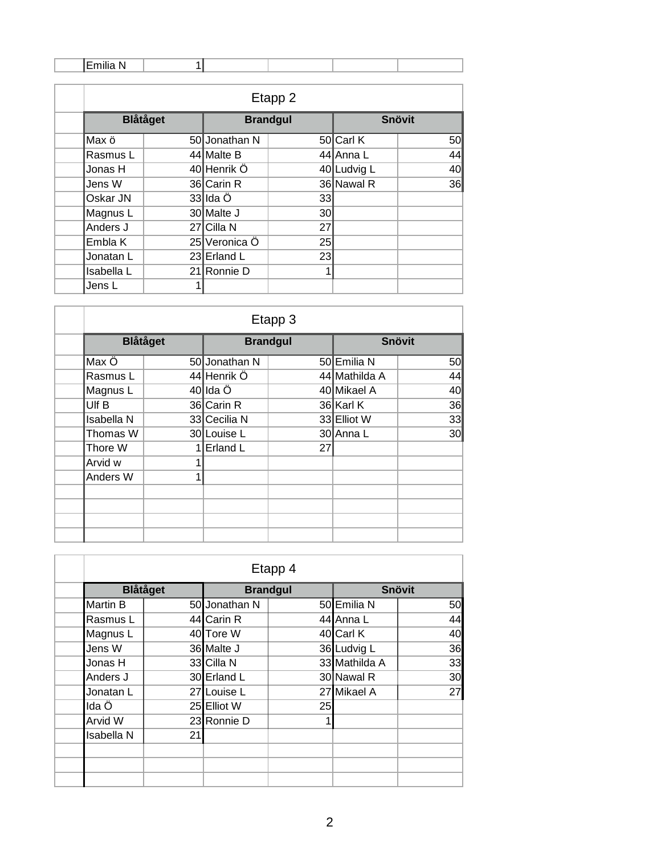ľ

| Etapp 2         |   |                 |                 |               |    |  |  |
|-----------------|---|-----------------|-----------------|---------------|----|--|--|
| <b>Blåtåget</b> |   | <b>Brandgul</b> |                 | <b>Snövit</b> |    |  |  |
| Max ö           |   | 50 Jonathan N   |                 | 50 Carl K     | 50 |  |  |
| Rasmus L        |   | 44 Malte B      |                 | 44 Anna L     | 44 |  |  |
| Jonas H         |   | 40 Henrik Ö     |                 | 40 Ludvig L   | 40 |  |  |
| Jens W          |   | 36 Carin R      |                 | 36 Nawal R    | 36 |  |  |
| Oskar JN        |   | 33llda Ö        | 33              |               |    |  |  |
| Magnus L        |   | 30 Malte J      | 30 <sup>l</sup> |               |    |  |  |
| Anders J        |   | 27 Cilla N      | 27 <sup>1</sup> |               |    |  |  |
| Embla K         |   | 25 Veronica Ö   | 25              |               |    |  |  |
| Jonatan L       |   | 23 Erland L     | 23              |               |    |  |  |
| Isabella L      |   | 21 Ronnie D     | 1               |               |    |  |  |
| Jens L          | 1 |                 |                 |               |    |  |  |

| Etapp 3         |   |               |                 |               |                 |  |  |
|-----------------|---|---------------|-----------------|---------------|-----------------|--|--|
| <b>Blåtåget</b> |   |               | <b>Brandgul</b> |               | <b>Snövit</b>   |  |  |
| ∥Max Ö          |   | 50 Jonathan N |                 | 50 Emilia N   | 50              |  |  |
| Rasmus L        |   | 44 Henrik Ö   |                 | 44 Mathilda A | 44              |  |  |
| Magnus L        |   | 40∥lda Ö      |                 | 40 Mikael A   | 40              |  |  |
| <b>IUIf B</b>   |   | 36 Carin R    |                 | 36 Karl K     | 36              |  |  |
| Isabella N      |   | 33 Cecilia N  |                 | 33 Elliot W   | 33              |  |  |
| Thomas W        |   | 30 Louise L   |                 | 30 Anna L     | 30 <sup>l</sup> |  |  |
| Thore W         |   | Erland L      | 27              |               |                 |  |  |
| Arvid w         |   |               |                 |               |                 |  |  |
| Anders W        | 1 |               |                 |               |                 |  |  |
|                 |   |               |                 |               |                 |  |  |
|                 |   |               |                 |               |                 |  |  |
|                 |   |               |                 |               |                 |  |  |
|                 |   |               |                 |               |                 |  |  |

| Etapp 4           |    |               |                 |               |    |  |  |
|-------------------|----|---------------|-----------------|---------------|----|--|--|
| <b>Blåtåget</b>   |    |               | <b>Brandgul</b> | <b>Snövit</b> |    |  |  |
| <b>Martin B</b>   |    | 50 Jonathan N |                 | 50 Emilia N   | 50 |  |  |
| Rasmus L          |    | 44 Carin R    |                 | 44 Anna L     | 44 |  |  |
| Magnus L          |    | 40 Tore W     |                 | 40 Carl K     | 40 |  |  |
| Jens W            |    | 36 Malte J    |                 | 36 Ludvig L   | 36 |  |  |
| Jonas H           |    | 33 Cilla N    |                 | 33 Mathilda A | 33 |  |  |
| Anders J          |    | 30 Erland L   |                 | 30 Nawal R    | 30 |  |  |
| Jonatan L         |    | 27 Louise L   |                 | 27 Mikael A   | 27 |  |  |
| Ida Ö             |    | 25 Elliot W   | 25              |               |    |  |  |
| Arvid W           |    | 23 Ronnie D   | 1               |               |    |  |  |
| <b>Isabella N</b> | 21 |               |                 |               |    |  |  |
|                   |    |               |                 |               |    |  |  |
|                   |    |               |                 |               |    |  |  |
|                   |    |               |                 |               |    |  |  |